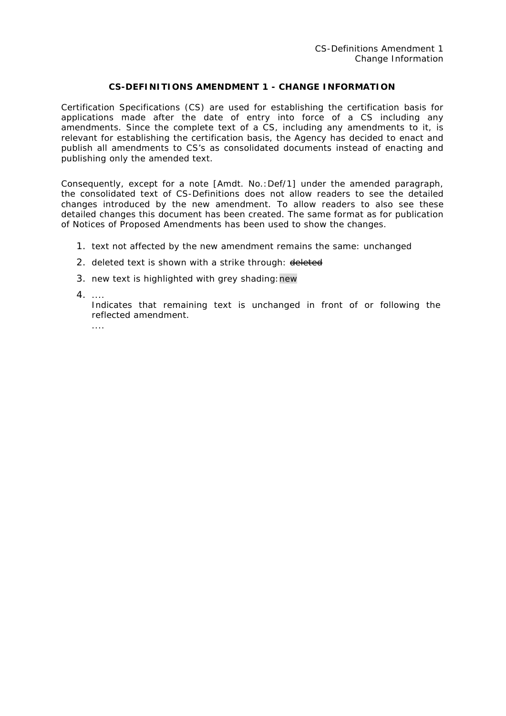## **CS-DEFINITIONS AMENDMENT 1 - CHANGE INFORMATION**

Certification Specifications (CS) are used for establishing the certification basis for applications made after the date of entry into force of a CS including any amendments. Since the complete text of a CS, including any amendments to it, is relevant for establishing the certification basis, the Agency has decided to enact and publish all amendments to CS's as consolidated documents instead of enacting and publishing only the amended text.

Consequently, except for a note [Amdt. No.:Def/1] under the amended paragraph, the consolidated text of CS-Definitions does not allow readers to see the detailed changes introduced by the new amendment. To allow readers to also see these detailed changes this document has been created. The same format as for publication of Notices of Proposed Amendments has been used to show the changes.

- 1. text not affected by the new amendment remains the same: unchanged
- 2. deleted text is shown with a strike through: deleted
- 3. new text is highlighted with grey shading:new
- 4. ....

....

Indicates that remaining text is unchanged in front of or following the reflected amendment.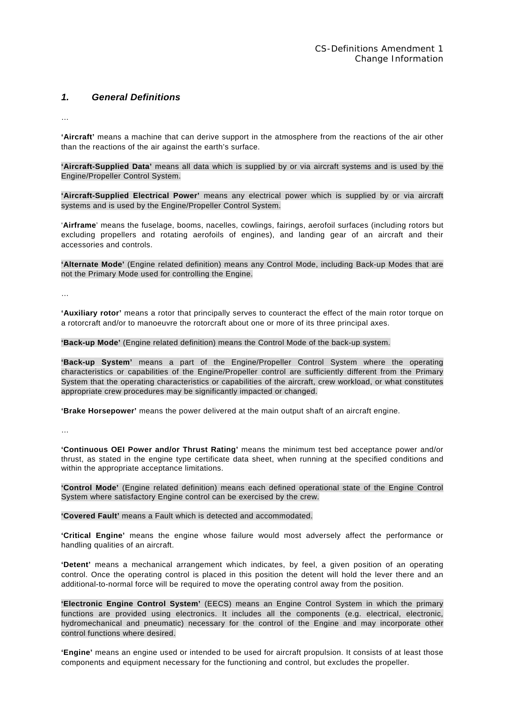## *1. General Definitions*

…

**'Aircraft'** means a machine that can derive support in the atmosphere from the reactions of the air other than the reactions of the air against the earth's surface.

**'Aircraft-Supplied Data'** means all data which is supplied by or via aircraft systems and is used by the Engine/Propeller Control System.

**'Aircraft-Supplied Electrical Power'** means any electrical power which is supplied by or via aircraft systems and is used by the Engine/Propeller Control System.

'**Airframe**' means the fuselage, booms, nacelles, cowlings, fairings, aerofoil surfaces (including rotors but excluding propellers and rotating aerofoils of engines), and landing gear of an aircraft and their accessories and controls.

**'Alternate Mode'** (Engine related definition) means any Control Mode, including Back-up Modes that are not the Primary Mode used for controlling the Engine.

…

**'Auxiliary rotor'** means a rotor that principally serves to counteract the effect of the main rotor torque on a rotorcraft and/or to manoeuvre the rotorcraft about one or more of its three principal axes.

**'Back-up Mode'** (Engine related definition) means the Control Mode of the back-up system.

**'Back-up System'** means a part of the Engine/Propeller Control System where the operating characteristics or capabilities of the Engine/Propeller control are sufficiently different from the Primary System that the operating characteristics or capabilities of the aircraft, crew workload, or what constitutes appropriate crew procedures may be significantly impacted or changed.

**'Brake Horsepower'** means the power delivered at the main output shaft of an aircraft engine.

…

**'Continuous OEI Power and/or Thrust Rating'** means the minimum test bed acceptance power and/or thrust, as stated in the engine type certificate data sheet, when running at the specified conditions and within the appropriate acceptance limitations.

**'Control Mode'** (Engine related definition) means each defined operational state of the Engine Control System where satisfactory Engine control can be exercised by the crew.

**'Covered Fault'** means a Fault which is detected and accommodated.

**'Critical Engine'** means the engine whose failure would most adversely affect the performance or handling qualities of an aircraft.

**'Detent'** means a mechanical arrangement which indicates, by feel, a given position of an operating control. Once the operating control is placed in this position the detent will hold the lever there and an additional-to-normal force will be required to move the operating control away from the position.

**'Electronic Engine Control System'** (EECS) means an Engine Control System in which the primary functions are provided using electronics. It includes all the components (e.g. electrical, electronic, hydromechanical and pneumatic) necessary for the control of the Engine and may incorporate other control functions where desired.

**'Engine'** means an engine used or intended to be used for aircraft propulsion. It consists of at least those components and equipment necessary for the functioning and control, but excludes the propeller.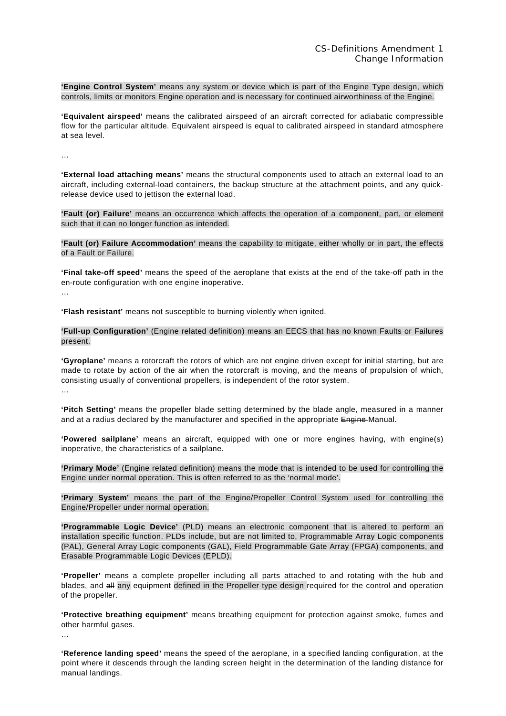**'Engine Control System'** means any system or device which is part of the Engine Type design, which controls, limits or monitors Engine operation and is necessary for continued airworthiness of the Engine.

**'Equivalent airspeed'** means the calibrated airspeed of an aircraft corrected for adiabatic compressible flow for the particular altitude. Equivalent airspeed is equal to calibrated airspeed in standard atmosphere at sea level.

…

…

**'External load attaching means'** means the structural components used to attach an external load to an aircraft, including external-load containers, the backup structure at the attachment points, and any quickrelease device used to jettison the external load.

**'Fault (or) Failure'** means an occurrence which affects the operation of a component, part, or element such that it can no longer function as intended.

**'Fault (or) Failure Accommodation'** means the capability to mitigate, either wholly or in part, the effects of a Fault or Failure.

**'Final take-off speed'** means the speed of the aeroplane that exists at the end of the take-off path in the en-route configuration with one engine inoperative.

**'Flash resistant'** means not susceptible to burning violently when ignited.

**'Full-up Configuration'** (Engine related definition) means an EECS that has no known Faults or Failures present.

**'Gyroplane'** means a rotorcraft the rotors of which are not engine driven except for initial starting, but are made to rotate by action of the air when the rotorcraft is moving, and the means of propulsion of which, consisting usually of conventional propellers, is independent of the rotor system. …

**'Pitch Setting'** means the propeller blade setting determined by the blade angle, measured in a manner and at a radius declared by the manufacturer and specified in the appropriate Engine-Manual.

**'Powered sailplane'** means an aircraft, equipped with one or more engines having, with engine(s) inoperative, the characteristics of a sailplane.

**'Primary Mode'** (Engine related definition) means the mode that is intended to be used for controlling the Engine under normal operation. This is often referred to as the 'normal mode'.

**'Primary System'** means the part of the Engine/Propeller Control System used for controlling the Engine/Propeller under normal operation.

**'Programmable Logic Device'** (PLD) means an electronic component that is altered to perform an installation specific function. PLDs include, but are not limited to, Programmable Array Logic components (PAL), General Array Logic components (GAL), Field Programmable Gate Array (FPGA) components, and Erasable Programmable Logic Devices (EPLD).

**'Propeller'** means a complete propeller including all parts attached to and rotating with the hub and blades, and all any equipment defined in the Propeller type design required for the control and operation of the propeller.

**'Protective breathing equipment'** means breathing equipment for protection against smoke, fumes and other harmful gases.

**'Reference landing speed'** means the speed of the aeroplane, in a specified landing configuration, at the point where it descends through the landing screen height in the determination of the landing distance for manual landings.